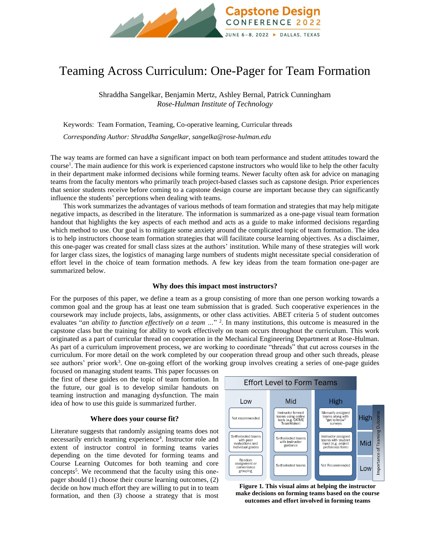

# Teaming Across Curriculum: One-Pager for Team Formation

Shraddha Sangelkar, Benjamin Mertz, Ashley Bernal, Patrick Cunningham *Rose-Hulman Institute of Technology*

Keywords:Team Formation, Teaming, Co-operative learning, Curricular threads

*Corresponding Author: Shraddha Sangelkar, sangelka@rose-hulman.edu*

The way teams are formed can have a significant impact on both team performance and student attitudes toward the course<sup>1</sup>. The main audience for this work is experienced capstone instructors who would like to help the other faculty in their department make informed decisions while forming teams. Newer faculty often ask for advice on managing teams from the faculty mentors who primarily teach project-based classes such as capstone design. Prior experiences that senior students receive before coming to a capstone design course are important because they can significantly influence the students' perceptions when dealing with teams.

This work summarizes the advantages of various methods of team formation and strategies that may help mitigate negative impacts, as described in the literature. The information is summarized as a one-page visual team formation handout that highlights the key aspects of each method and acts as a guide to make informed decisions regarding which method to use. Our goal is to mitigate some anxiety around the complicated topic of team formation. The idea is to help instructors choose team formation strategies that will facilitate course learning objectives. As a disclaimer, this one-pager was created for small class sizes at the authors' institution. While many of these strategies will work for larger class sizes, the logistics of managing large numbers of students might necessitate special consideration of effort level in the choice of team formation methods. A few key ideas from the team formation one-pager are summarized below.

### **Why does this impact most instructors?**

For the purposes of this paper, we define a team as a group consisting of more than one person working towards a common goal and the group has at least one team submission that is graded. Such cooperative experiences in the coursework may include projects, labs, assignments, or other class activities. ABET criteria 5 of student outcomes evaluates "*an ability to function effectively on a team …*" 2 . In many institutions, this outcome is measured in the capstone class but the training for ability to work effectively on team occurs throughout the curriculum. This work originated as a part of curricular thread on cooperation in the Mechanical Engineering Department at Rose-Hulman. As part of a curriculum improvement process, we are working to coordinate "threads" that cut across courses in the curriculum. For more detail on the work completed by our cooperation thread group and other such threads, please see authors' prior work<sup>3</sup>. One on-going effort of the working group involves creating a series of one-page guides

focused on managing student teams. This paper focusses on the first of these guides on the topic of team formation. In the future, our goal is to develop similar handouts on teaming instruction and managing dysfunction. The main idea of how to use this guide is summarized further.

# **Where does your course fit?**

Literature suggests that randomly assigning teams does not necessarily enrich teaming experience<sup>4</sup>. Instructor role and extent of instructor control in forming teams varies depending on the time devoted for forming teams and Course Learning Outcomes for both teaming and core concepts 5 . We recommend that the faculty using this onepager should (1) choose their course learning outcomes, (2) decide on how much effort they are willing to put in to team formation, and then (3) choose a strategy that is most



**Figure 1. This visual aims at helping the instructor make decisions on forming teams based on the course outcomes and effort involved in forming teams**